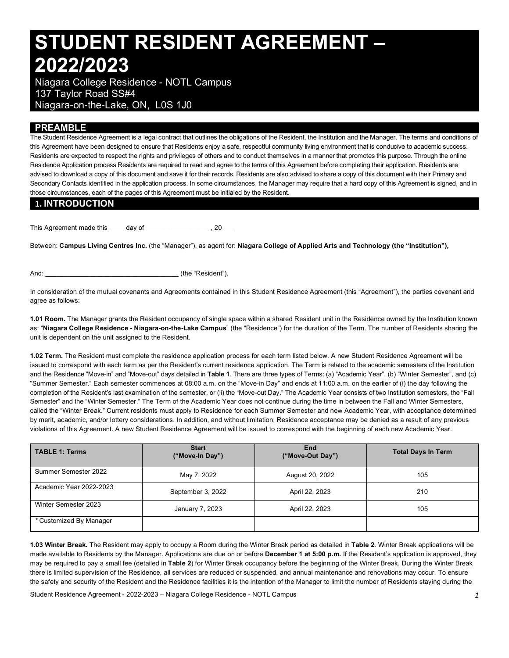# **STUDENT RESIDENT AGREEMENT – 2022/2023**

 Niagara College Residence - NOTL Campus 137 Taylor Road SS#4 Niagara-on-the-Lake, ON, L0S 1J0

## **PREAMBLE**

 The Student Residence Agreement is a legal contract that outlines the obligations of the Resident, the Institution and the Manager. The terms and conditions of this Agreement have been designed to ensure that Residents enjoy a safe, respectful community living environment that is conducive to academic success. Residents are expected to respect the rights and privileges of others and to conduct themselves in a manner that promotes this purpose. Through the online Residence Application process Residents are required to read and agree to the terms of this Agreement before completing their application. Residents are advised to download a copy of this document and save it for their records. Residents are also advised to share a copy of this document with their Primary and Secondary Contacts identified in the application process. In some circumstances, the Manager may require that a hard copy of this Agreement is signed, and in those circumstances, each of the pages of this Agreement must be initialed by the Resident.

#### **1. INTRODUCTION**

This Agreement made this \_\_\_\_ day of \_\_\_\_\_\_\_\_\_\_\_\_\_\_\_\_\_\_\_\_\_, 20\_\_\_\_

 Between: **Campus Living Centres Inc.** (the "Manager"), as agent for: **Niagara College of Applied Arts and Technology (the "Institution"),** 

And:  $\qquad \qquad$  (the "Resident").

 In consideration of the mutual covenants and Agreements contained in this Student Residence Agreement (this "Agreement"), the parties covenant and agree as follows:

 **1.01 Room.** The Manager grants the Resident occupancy of single space within a shared Resident unit in the Residence owned by the Institution known  as: "**Niagara College Residence - Niagara-on-the-Lake Campus**" (the "Residence") for the duration of the Term. The number of Residents sharing the unit is dependent on the unit assigned to the Resident.

 **1.02 Term.** The Resident must complete the residence application process for each term listed below. A new Student Residence Agreement will be issued to correspond with each term as per the Resident's current residence application. The Term is related to the academic semesters of the Institution and the Residence "Move-in" and "Move-out" days detailed in **Table 1**. There are three types of Terms: (a) "Academic Year", (b) "Winter Semester", and (c) "Summer Semester." Each semester commences at 08:00 a.m. on the "Move-in Day" and ends at 11:00 a.m. on the earlier of (i) the day following the completion of the Resident's last examination of the semester, or (ii) the "Move-out Day." The Academic Year consists of two Institution semesters, the "Fall Semester" and the "Winter Semester." The Term of the Academic Year does not continue during the time in between the Fall and Winter Semesters, called the "Winter Break." Current residents must apply to Residence for each Summer Semester and new Academic Year, with acceptance determined by merit, academic, and/or lottery considerations. In addition, and without limitation, Residence acceptance may be denied as a result of any previous violations of this Agreement. A new Student Residence Agreement will be issued to correspond with the beginning of each new Academic Year.

| <b>TABLE 1: Terms</b>   | <b>Start</b><br>("Move-In Day") | End<br>("Move-Out Day") | <b>Total Days In Term</b> |  |
|-------------------------|---------------------------------|-------------------------|---------------------------|--|
| Summer Semester 2022    | May 7, 2022                     | August 20, 2022         | 105                       |  |
| Academic Year 2022-2023 | September 3, 2022               | April 22, 2023          | 210                       |  |
| Winter Semester 2023    | January 7, 2023                 | April 22, 2023          | 105                       |  |
| * Customized By Manager |                                 |                         |                           |  |

 **1.03 Winter Break.** The Resident may apply to occupy a Room during the Winter Break period as detailed in **Table 2**. Winter Break applications will be made available to Residents by the Manager. Applications are due on or before **December 1 at 5:00 p.m.** If the Resident's application is approved, they may be required to pay a small fee (detailed in **Table 2**) for Winter Break occupancy before the beginning of the Winter Break. During the Winter Break there is limited supervision of the Residence, all services are reduced or suspended, and annual maintenance and renovations may occur. To ensure the safety and security of the Resident and the Residence facilities it is the intention of the Manager to limit the number of Residents staying during the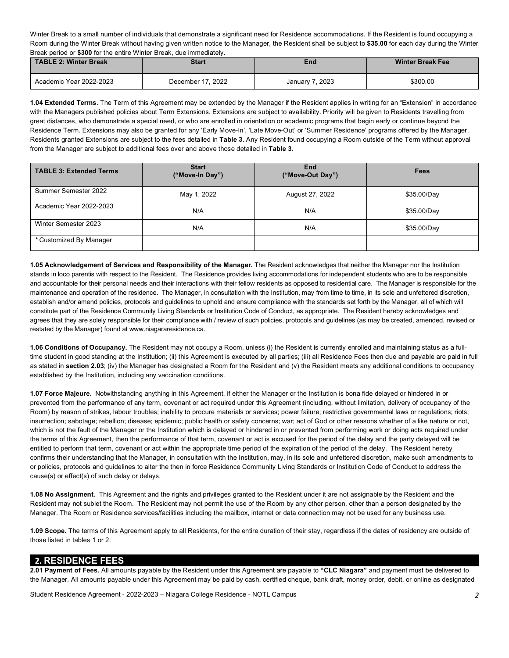Winter Break to a small number of individuals that demonstrate a significant need for Residence accommodations. If the Resident is found occupying a Room during the Winter Break without having given written notice to the Manager, the Resident shall be subject to **\$35.00** for each day during the Winter Break period or **\$300** for the entire Winter Break, due immediately.

| TABLE 2: Winter Break   | <b>Start</b>      | End             | Winter Break Fee |  |
|-------------------------|-------------------|-----------------|------------------|--|
| Academic Year 2022-2023 | December 17, 2022 | January 7, 2023 | \$300.00         |  |

 **1.04 Extended Terms**. The Term of this Agreement may be extended by the Manager if the Resident applies in writing for an "Extension" in accordance with the Managers published policies about Term Extensions. Extensions are subject to availability. Priority will be given to Residents travelling from great distances, who demonstrate a special need, or who are enrolled in orientation or academic programs that begin early or continue beyond the Residence Term. Extensions may also be granted for any 'Early Move-In', 'Late Move-Out' or 'Summer Residence' programs offered by the Manager. Residents granted Extensions are subject to the fees detailed in **Table 3**. Any Resident found occupying a Room outside of the Term without approval from the Manager are subject to additional fees over and above those detailed in **Table 3**.

| <b>TABLE 3: Extended Terms</b> | <b>Start</b><br>("Move-In Day") | End<br>("Move-Out Day") | Fees        |  |
|--------------------------------|---------------------------------|-------------------------|-------------|--|
| Summer Semester 2022           | May 1, 2022                     | August 27, 2022         | \$35.00/Day |  |
| Academic Year 2022-2023        | N/A                             | N/A                     | \$35.00/Day |  |
| Winter Semester 2023           | N/A                             | N/A                     | \$35.00/Day |  |
| * Customized By Manager        |                                 |                         |             |  |

 **1.05 Acknowledgement of Services and Responsibility of the Manager.** The Resident acknowledges that neither the Manager nor the Institution stands in loco parentis with respect to the Resident. The Residence provides living accommodations for independent students who are to be responsible and accountable for their personal needs and their interactions with their fellow residents as opposed to residential care. The Manager is responsible for the maintenance and operation of the residence. The Manager, in consultation with the Institution, may from time to time, in its sole and unfettered discretion, establish and/or amend policies, protocols and guidelines to uphold and ensure compliance with the standards set forth by the Manager, all of which will constitute part of the Residence Community Living Standards or Institution Code of Conduct, as appropriate. The Resident hereby acknowledges and agrees that they are solely responsible for their compliance with / review of such policies, protocols and guidelines (as may be created, amended, revised or restated by the Manager) found at [www.niagararesidence.ca.](www.niagararesidence.ca)

 **1.06 Conditions of Occupancy.** The Resident may not occupy a Room, unless (i) the Resident is currently enrolled and maintaining status as a full- time student in good standing at the Institution; (ii) this Agreement is executed by all parties; (iii) all Residence Fees then due and payable are paid in full as stated in **section 2.03**; (iv) the Manager has designated a Room for the Resident and (v) the Resident meets any additional conditions to occupancy established by the Institution, including any vaccination conditions.

 **1.07 Force Majeure.** Notwithstanding anything in this Agreement, if either the Manager or the Institution is bona fide delayed or hindered in or prevented from the performance of any term, covenant or act required under this Agreement (including, without limitation, delivery of occupancy of the Room) by reason of strikes, labour troubles; inability to procure materials or services; power failure; restrictive governmental laws or regulations; riots; insurrection; sabotage; rebellion; disease; epidemic; public health or safety concerns; war; act of God or other reasons whether of a like nature or not, which is not the fault of the Manager or the Institution which is delayed or hindered in or prevented from performing work or doing acts required under the terms of this Agreement, then the performance of that term, covenant or act is excused for the period of the delay and the party delayed will be entitled to perform that term, covenant or act within the appropriate time period of the expiration of the period of the delay. The Resident hereby confirms their understanding that the Manager, in consultation with the Institution, may, in its sole and unfettered discretion, make such amendments to or policies, protocols and guidelines to alter the then in force Residence Community Living Standards or Institution Code of Conduct to address the cause(s) or effect(s) of such delay or delays.

 **1.08 No Assignment.** This Agreement and the rights and privileges granted to the Resident under it are not assignable by the Resident and the Resident may not sublet the Room. The Resident may not permit the use of the Room by any other person, other than a person designated by the Manager. The Room or Residence services/facilities including the mailbox, internet or data connection may not be used for any business use.

 **1.09 Scope.** The terms of this Agreement apply to all Residents, for the entire duration of their stay, regardless if the dates of residency are outside of those listed in tables 1 or 2.

#### **2. RESIDENCE FEES**

 **2.01 Payment of Fees.** All amounts payable by the Resident under this Agreement are payable to **"CLC Niagara"** and payment must be delivered to the Manager. All amounts payable under this Agreement may be paid by cash, certified cheque, bank draft, money order, debit, or online as designated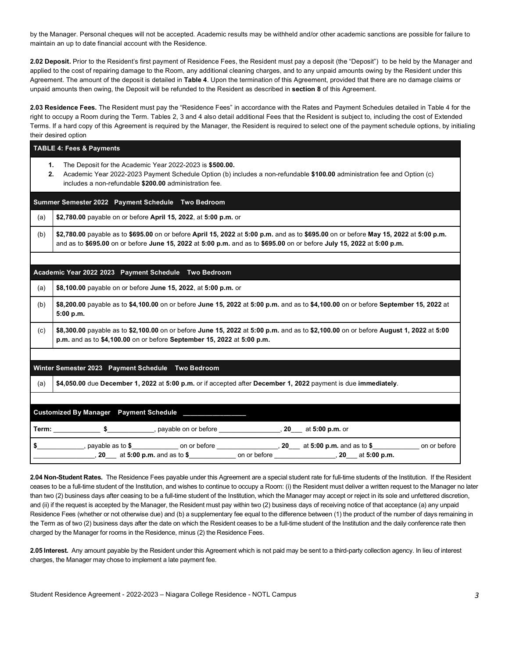by the Manager. Personal cheques will not be accepted. Academic results may be withheld and/or other academic sanctions are possible for failure to maintain an up to date financial account with the Residence.

 **2.02 Deposit.** Prior to the Resident's first payment of Residence Fees, the Resident must pay a deposit (the "Deposit") to be held by the Manager and applied to the cost of repairing damage to the Room, any additional cleaning charges, and to any unpaid amounts owing by the Resident under this Agreement. The amount of the deposit is detailed in **Table 4**. Upon the termination of this Agreement, provided that there are no damage claims or unpaid amounts then owing, the Deposit will be refunded to the Resident as described in **section 8** of this Agreement.

 **2.03 Residence Fees.** The Resident must pay the "Residence Fees" in accordance with the Rates and Payment Schedules detailed in Table 4 for the right to occupy a Room during the Term. Tables 2, 3 and 4 also detail additional Fees that the Resident is subject to, including the cost of Extended Terms. If a hard copy of this Agreement is required by the Manager, the Resident is required to select one of the payment schedule options, by initialing their desired option

|          | <b>TABLE 4: Fees &amp; Payments</b>                                                                                                                                                                                                                           |  |  |  |  |
|----------|---------------------------------------------------------------------------------------------------------------------------------------------------------------------------------------------------------------------------------------------------------------|--|--|--|--|
| 1.<br>2. | The Deposit for the Academic Year 2022-2023 is \$500.00.<br>Academic Year 2022-2023 Payment Schedule Option (b) includes a non-refundable \$100.00 administration fee and Option (c)<br>includes a non-refundable \$200.00 administration fee.                |  |  |  |  |
|          | Summer Semester 2022 Payment Schedule Two Bedroom                                                                                                                                                                                                             |  |  |  |  |
| (a)      | \$2,780.00 payable on or before April 15, 2022, at 5:00 p.m. or                                                                                                                                                                                               |  |  |  |  |
| (b)      | \$2,780.00 payable as to \$695.00 on or before April 15, 2022 at 5:00 p.m. and as to \$695.00 on or before May 15, 2022 at 5:00 p.m.<br>and as to \$695.00 on or before June 15, 2022 at 5:00 p.m. and as to \$695.00 on or before July 15, 2022 at 5:00 p.m. |  |  |  |  |
|          |                                                                                                                                                                                                                                                               |  |  |  |  |
|          | Academic Year 2022 2023 Payment Schedule Two Bedroom                                                                                                                                                                                                          |  |  |  |  |
| (a)      | \$8,100.00 payable on or before June 15, 2022, at 5:00 p.m. or                                                                                                                                                                                                |  |  |  |  |
| (b)      | \$8,200.00 payable as to \$4,100.00 on or before June 15, 2022 at 5:00 p.m. and as to \$4,100.00 on or before September 15, 2022 at<br>5:00 p.m.                                                                                                              |  |  |  |  |
| (c)      | \$8,300.00 payable as to \$2,100.00 on or before June 15, 2022 at 5:00 p.m. and as to \$2,100.00 on or before August 1, 2022 at 5:00<br>p.m. and as to \$4,100.00 on or before September 15, 2022 at 5:00 p.m.                                                |  |  |  |  |
|          |                                                                                                                                                                                                                                                               |  |  |  |  |
|          | Winter Semester 2023 Payment Schedule Two Bedroom                                                                                                                                                                                                             |  |  |  |  |
| (a)      | \$4,050.00 due December 1, 2022 at 5:00 p.m. or if accepted after December 1, 2022 payment is due immediately.                                                                                                                                                |  |  |  |  |
|          | Customized By Manager  Payment Schedule ______________                                                                                                                                                                                                        |  |  |  |  |
|          | Term: _______________\$________________, payable on or before ________________________20_____ at 5:00 p.m. or                                                                                                                                                 |  |  |  |  |
|          | \$ ______________, payable as to \$ _______________ on or before _________________, 20 ___ at 5:00 p.m. and as to \$ ____________ on or before                                                                                                                |  |  |  |  |

 **2.04 Non-Student Rates.** The Residence Fees payable under this Agreement are a special student rate for full-time students of the Institution. If the Resident ceases to be a full-time student of the Institution, and wishes to continue to occupy a Room: (i) the Resident must deliver a written request to the Manager no later than two (2) business days after ceasing to be a full-time student of the Institution, which the Manager may accept or reject in its sole and unfettered discretion, and (ii) if the request is accepted by the Manager, the Resident must pay within two (2) business days of receiving notice of that acceptance (a) any unpaid Residence Fees (whether or not otherwise due) and (b) a supplementary fee equal to the difference between (1) the product of the number of days remaining in the Term as of two (2) business days after the date on which the Resident ceases to be a full-time student of the Institution and the daily conference rate then charged by the Manager for rooms in the Residence, minus (2) the Residence Fees.

 **2.05 Interest.** Any amount payable by the Resident under this Agreement which is not paid may be sent to a third-party collection agency. In lieu of interest charges, the Manager may chose to implement a late payment fee.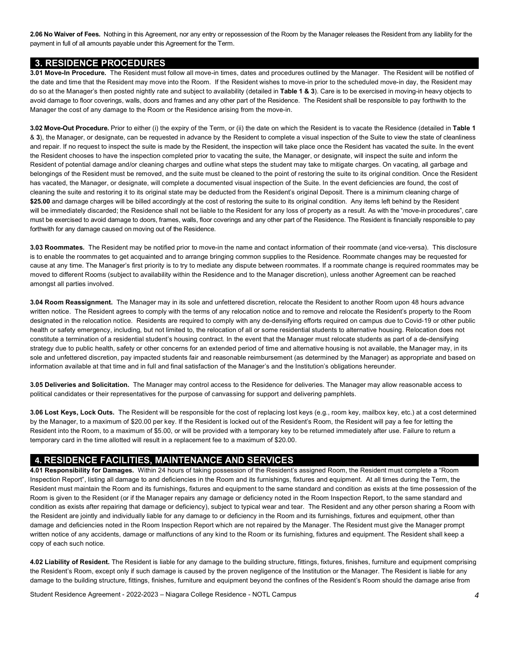**2.06 No Waiver of Fees.** Nothing in this Agreement, nor any entry or repossession of the Room by the Manager releases the Resident from any liability for the payment in full of all amounts payable under this Agreement for the Term.

#### **3. RESIDENCE PROCEDURES**

 **3.01 Move-In Procedure.** The Resident must follow all move-in times, dates and procedures outlined by the Manager. The Resident will be notified of the date and time that the Resident may move into the Room. If the Resident wishes to move-in prior to the scheduled move-in day, the Resident may do so at the Manager's then posted nightly rate and subject to availability (detailed in **Table 1 & 3**). Care is to be exercised in moving-in heavy objects to avoid damage to floor coverings, walls, doors and frames and any other part of the Residence. The Resident shall be responsible to pay forthwith to the Manager the cost of any damage to the Room or the Residence arising from the move-in.

 **3.02 Move-Out Procedure.** Prior to either (i) the expiry of the Term, or (ii) the date on which the Resident is to vacate the Residence (detailed in **Table 1**  & **3**), the Manager, or designate, can be requested in advance by the Resident to complete a visual inspection of the Suite to view the state of cleanliness and repair. If no request to inspect the suite is made by the Resident, the inspection will take place once the Resident has vacated the suite. In the event the Resident chooses to have the inspection completed prior to vacating the suite, the Manager, or designate, will inspect the suite and inform the Resident of potential damage and/or cleaning charges and outline what steps the student may take to mitigate charges. On vacating, all garbage and belongings of the Resident must be removed, and the suite must be cleaned to the point of restoring the suite to its original condition. Once the Resident has vacated, the Manager, or designate, will complete a documented visual inspection of the Suite. In the event deficiencies are found, the cost of cleaning the suite and restoring it to its original state may be deducted from the Resident's original Deposit. There is a minimum cleaning charge of \$25.00 and damage charges will be billed accordingly at the cost of restoring the suite to its original condition. Any items left behind by the Resident will be immediately discarded; the Residence shall not be liable to the Resident for any loss of property as a result. As with the "move-in procedures", care must be exercised to avoid damage to doors, frames, walls, floor coverings and any other part of the Residence. The Resident is financially responsible to pay forthwith for any damage caused on moving out of the Residence.

 **3.03 Roommates.** The Resident may be notified prior to move-in the name and contact information of their roommate (and vice-versa). This disclosure is to enable the roommates to get acquainted and to arrange bringing common supplies to the Residence. Roommate changes may be requested for cause at any time. The Manager's first priority is to try to mediate any dispute between roommates. If a roommate change is required roommates may be moved to different Rooms (subject to availability within the Residence and to the Manager discretion), unless another Agreement can be reached amongst all parties involved.

 **3.04 Room Reassignment.** The Manager may in its sole and unfettered discretion, relocate the Resident to another Room upon 48 hours advance written notice. The Resident agrees to comply with the terms of any relocation notice and to remove and relocate the Resident's property to the Room designated in the relocation notice. Residents are required to comply with any de-densifying efforts required on campus due to Covid-19 or other public health or safety emergency, including, but not limited to, the relocation of all or some residential students to alternative housing. Relocation does not constitute a termination of a residential student's housing contract. In the event that the Manager must relocate students as part of a de-densifying strategy due to public health, safety or other concerns for an extended period of time and alternative housing is not available, the Manager may, in its sole and unfettered discretion, pay impacted students fair and reasonable reimbursement (as determined by the Manager) as appropriate and based on information available at that time and in full and final satisfaction of the Manager's and the Institution's obligations hereunder.

 **3.05 Deliveries and Solicitation.** The Manager may control access to the Residence for deliveries. The Manager may allow reasonable access to political candidates or their representatives for the purpose of canvassing for support and delivering pamphlets.

 **3.06 Lost Keys, Lock Outs.** The Resident will be responsible for the cost of replacing lost keys (e.g., room key, mailbox key, etc.) at a cost determined by the Manager, to a maximum of \$20.00 per key. If the Resident is locked out of the Resident's Room, the Resident will pay a fee for letting the Resident into the Room, to a maximum of \$5.00, or will be provided with a temporary key to be returned immediately after use. Failure to return a temporary card in the time allotted will result in a replacement fee to a maximum of \$20.00.

#### **4. RESIDENCE FACILITIES, MAINTENANCE AND SERVICES**

 Inspection Report", listing all damage to and deficiencies in the Room and its furnishings, fixtures and equipment. At all times during the Term, the Resident must maintain the Room and its furnishings, fixtures and equipment to the same standard and condition as exists at the time possession of the Room is given to the Resident (or if the Manager repairs any damage or deficiency noted in the Room Inspection Report, to the same standard and condition as exists after repairing that damage or deficiency), subject to typical wear and tear. The Resident and any other person sharing a Room with the Resident are jointly and individually liable for any damage to or deficiency in the Room and its furnishings, fixtures and equipment, other than damage and deficiencies noted in the Room Inspection Report which are not repaired by the Manager. The Resident must give the Manager prompt written notice of any accidents, damage or malfunctions of any kind to the Room or its furnishing, fixtures and equipment. The Resident shall keep a copy of each such notice. **4.01 Responsibility for Damages.** Within 24 hours of taking possession of the Resident's assigned Room, the Resident must complete a "Room

 **4.02 Liability of Resident.** The Resident is liable for any damage to the building structure, fittings, fixtures, finishes, furniture and equipment comprising the Resident's Room, except only if such damage is caused by the proven negligence of the Institution or the Manager. The Resident is liable for any damage to the building structure, fittings, finishes, furniture and equipment beyond the confines of the Resident's Room should the damage arise from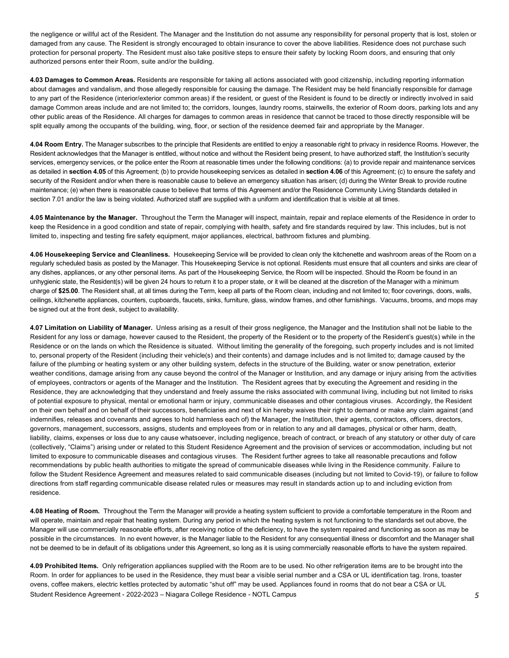the negligence or willful act of the Resident. The Manager and the Institution do not assume any responsibility for personal property that is lost, stolen or damaged from any cause. The Resident is strongly encouraged to obtain insurance to cover the above liabilities. Residence does not purchase such protection for personal property. The Resident must also take positive steps to ensure their safety by locking Room doors, and ensuring that only authorized persons enter their Room, suite and/or the building.

 **4.03 Damages to Common Areas.** Residents are responsible for taking all actions associated with good citizenship, including reporting information about damages and vandalism, and those allegedly responsible for causing the damage. The Resident may be held financially responsible for damage to any part of the Residence (interior/exterior common areas) if the resident, or guest of the Resident is found to be directly or indirectly involved in said damage Common areas include and are not limited to; the corridors, lounges, laundry rooms, stairwells, the exterior of Room doors, parking lots and any other public areas of the Residence. All charges for damages to common areas in residence that cannot be traced to those directly responsible will be split equally among the occupants of the building, wing, floor, or section of the residence deemed fair and appropriate by the Manager.

 **4.04 Room Entry.** The Manager subscribes to the principle that Residents are entitled to enjoy a reasonable right to privacy in residence Rooms. However, the Resident acknowledges that the Manager is entitled, without notice and without the Resident being present, to have authorized staff, the Institution's security services, emergency services, or the police enter the Room at reasonable times under the following conditions: (a) to provide repair and maintenance services as detailed in **section 4.05** of this Agreement; (b) to provide housekeeping services as detailed in **section 4.06** of this Agreement; (c) to ensure the safety and security of the Resident and/or when there is reasonable cause to believe an emergency situation has arisen; (d) during the Winter Break to provide routine maintenance; (e) when there is reasonable cause to believe that terms of this Agreement and/or the Residence Community Living Standards detailed in section 7.01 and/or the law is being violated. Authorized staff are supplied with a uniform and identification that is visible at all times.

 **4.05 Maintenance by the Manager.** Throughout the Term the Manager will inspect, maintain, repair and replace elements of the Residence in order to keep the Residence in a good condition and state of repair, complying with health, safety and fire standards required by law. This includes, but is not limited to, inspecting and testing fire safety equipment, major appliances, electrical, bathroom fixtures and plumbing.

 **4.06 Housekeeping Service and Cleanliness.** Housekeeping Service will be provided to clean only the kitchenette and washroom areas of the Room on a regularly scheduled basis as posted by the Manager. This Housekeeping Service is not optional. Residents must ensure that all counters and sinks are clear of any dishes, appliances, or any other personal items. As part of the Housekeeping Service, the Room will be inspected. Should the Room be found in an unhygienic state, the Resident(s) will be given 24 hours to return it to a proper state, or it will be cleaned at the discretion of the Manager with a minimum charge of **\$25.00**. The Resident shall, at all times during the Term, keep all parts of the Room clean, including and not limited to; floor coverings, doors, walls, ceilings, kitchenette appliances, counters, cupboards, faucets, sinks, furniture, glass, window frames, and other furnishings. Vacuums, brooms, and mops may be signed out at the front desk, subject to availability.

 **4.07 Limitation on Liability of Manager.** Unless arising as a result of their gross negligence, the Manager and the Institution shall not be liable to the Resident for any loss or damage, however caused to the Resident, the property of the Resident or to the property of the Resident's guest(s) while in the Residence or on the lands on which the Residence is situated. Without limiting the generality of the foregoing, such property includes and is not limited to, personal property of the Resident (including their vehicle(s) and their contents) and damage includes and is not limited to; damage caused by the failure of the plumbing or heating system or any other building system, defects in the structure of the Building, water or snow penetration, exterior weather conditions, damage arising from any cause beyond the control of the Manager or Institution, and any damage or injury arising from the activities of employees, contractors or agents of the Manager and the Institution. The Resident agrees that by executing the Agreement and residing in the Residence, they are acknowledging that they understand and freely assume the risks associated with communal living, including but not limited to risks of potential exposure to physical, mental or emotional harm or injury, communicable diseases and other contagious viruses. Accordingly, the Resident on their own behalf and on behalf of their successors, beneficiaries and next of kin hereby waives their right to demand or make any claim against (and indemnifies, releases and covenants and agrees to hold harmless each of) the Manager, the Institution, their agents, contractors, officers, directors, governors, management, successors, assigns, students and employees from or in relation to any and all damages, physical or other harm, death, liability, claims, expenses or loss due to any cause whatsoever, including negligence, breach of contract, or breach of any statutory or other duty of care (collectively, "Claims") arising under or related to this Student Residence Agreement and the provision of services or accommodation, including but not limited to exposure to communicable diseases and contagious viruses. The Resident further agrees to take all reasonable precautions and follow recommendations by public health authorities to mitigate the spread of communicable diseases while living in the Residence community. Failure to follow the Student Residence Agreement and measures related to said communicable diseases (including but not limited to Covid-19), or failure to follow directions from staff regarding communicable disease related rules or measures may result in standards action up to and including eviction from residence.

 **4.08 Heating of Room.** Throughout the Term the Manager will provide a heating system sufficient to provide a comfortable temperature in the Room and will operate, maintain and repair that heating system. During any period in which the heating system is not functioning to the standards set out above, the Manager will use commercially reasonable efforts, after receiving notice of the deficiency, to have the system repaired and functioning as soon as may be possible in the circumstances. In no event however, is the Manager liable to the Resident for any consequential illness or discomfort and the Manager shall not be deemed to be in default of its obligations under this Agreement, so long as it is using commercially reasonable efforts to have the system repaired.

 Student Residence Agreement - 2022-2023 – Niagara College Residence - NOTL Campus *5*  **4.09 Prohibited Items.** Only refrigeration appliances supplied with the Room are to be used. No other refrigeration items are to be brought into the Room. In order for appliances to be used in the Residence, they must bear a visible serial number and a CSA or UL identification tag. Irons, toaster ovens, coffee makers, electric kettles protected by automatic "shut off" may be used. Appliances found in rooms that do not bear a CSA or UL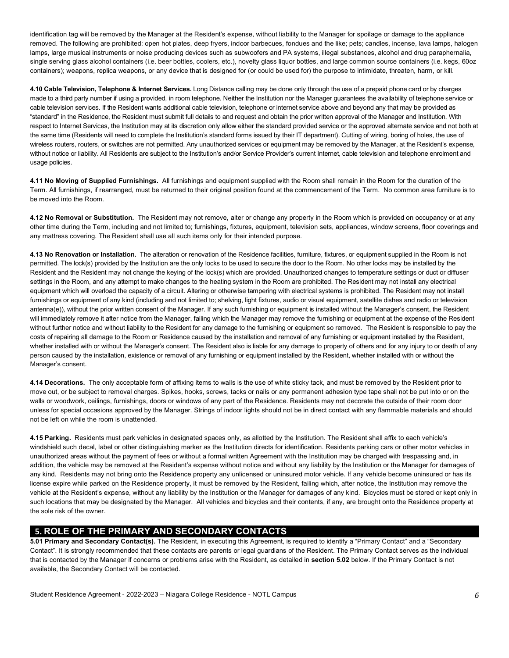identification tag will be removed by the Manager at the Resident's expense, without liability to the Manager for spoilage or damage to the appliance removed. The following are prohibited: open hot plates, deep fryers, indoor barbecues, fondues and the like; pets; candles, incense, lava lamps, halogen lamps, large musical instruments or noise producing devices such as subwoofers and PA systems, illegal substances, alcohol and drug paraphernalia, single serving glass alcohol containers (i.e. beer bottles, coolers, etc.), novelty glass liquor bottles, and large common source containers (i.e. kegs, 60oz containers); weapons, replica weapons, or any device that is designed for (or could be used for) the purpose to intimidate, threaten, harm, or kill.

 **4.10 Cable Television, Telephone & Internet Services.** Long Distance calling may be done only through the use of a prepaid phone card or by charges made to a third party number if using a provided, in room telephone. Neither the Institution nor the Manager guarantees the availability of telephone service or cable television services. If the Resident wants additional cable television, telephone or internet service above and beyond any that may be provided as "standard" in the Residence, the Resident must submit full details to and request and obtain the prior written approval of the Manager and Institution. With respect to Internet Services, the Institution may at its discretion only allow either the standard provided service or the approved alternate service and not both at the same time (Residents will need to complete the Institution's standard forms issued by their IT department). Cutting of wiring, boring of holes, the use of wireless routers, routers, or switches are not permitted. Any unauthorized services or equipment may be removed by the Manager, at the Resident's expense, without notice or liability. All Residents are subject to the Institution's and/or Service Provider's current Internet, cable television and telephone enrolment and usage policies.

 **4.11 No Moving of Supplied Furnishings.** All furnishings and equipment supplied with the Room shall remain in the Room for the duration of the Term. All furnishings, if rearranged, must be returned to their original position found at the commencement of the Term. No common area furniture is to be moved into the Room.

 **4.12 No Removal or Substitution.** The Resident may not remove, alter or change any property in the Room which is provided on occupancy or at any other time during the Term, including and not limited to; furnishings, fixtures, equipment, television sets, appliances, window screens, floor coverings and any mattress covering. The Resident shall use all such items only for their intended purpose.

 **4.13 No Renovation or Installation.** The alteration or renovation of the Residence facilities, furniture, fixtures, or equipment supplied in the Room is not permitted. The lock(s) provided by the Institution are the only locks to be used to secure the door to the Room. No other locks may be installed by the Resident and the Resident may not change the keying of the lock(s) which are provided. Unauthorized changes to temperature settings or duct or diffuser settings in the Room, and any attempt to make changes to the heating system in the Room are prohibited. The Resident may not install any electrical equipment which will overload the capacity of a circuit. Altering or otherwise tampering with electrical systems is prohibited. The Resident may not install furnishings or equipment of any kind (including and not limited to; shelving, light fixtures, audio or visual equipment, satellite dishes and radio or television antenna(e)), without the prior written consent of the Manager. If any such furnishing or equipment is installed without the Manager's consent, the Resident will immediately remove it after notice from the Manager, failing which the Manager may remove the furnishing or equipment at the expense of the Resident without further notice and without liability to the Resident for any damage to the furnishing or equipment so removed. The Resident is responsible to pay the costs of repairing all damage to the Room or Residence caused by the installation and removal of any furnishing or equipment installed by the Resident, whether installed with or without the Manager's consent. The Resident also is liable for any damage to property of others and for any injury to or death of any person caused by the installation, existence or removal of any furnishing or equipment installed by the Resident, whether installed with or without the Manager's consent.

 move out, or be subject to removal charges. Spikes, hooks, screws, tacks or nails or any permanent adhesion type tape shall not be put into or on the walls or woodwork, ceilings, furnishings, doors or windows of any part of the Residence. Residents may not decorate the outside of their room door unless for special occasions approved by the Manager. Strings of indoor lights should not be in direct contact with any flammable materials and should not be left on while the room is unattended. **4.14 Decorations.** The only acceptable form of affixing items to walls is the use of white sticky tack, and must be removed by the Resident prior to

 **4.15 Parking.** Residents must park vehicles in designated spaces only, as allotted by the Institution. The Resident shall affix to each vehicle's windshield such decal, label or other distinguishing marker as the Institution directs for identification. Residents parking cars or other motor vehicles in unauthorized areas without the payment of fees or without a formal written Agreement with the Institution may be charged with trespassing and, in addition, the vehicle may be removed at the Resident's expense without notice and without any liability by the Institution or the Manager for damages of any kind. Residents may not bring onto the Residence property any unlicensed or uninsured motor vehicle. If any vehicle become uninsured or has its license expire while parked on the Residence property, it must be removed by the Resident, failing which, after notice, the Institution may remove the vehicle at the Resident's expense, without any liability by the Institution or the Manager for damages of any kind. Bicycles must be stored or kept only in such locations that may be designated by the Manager. All vehicles and bicycles and their contents, if any, are brought onto the Residence property at the sole risk of the owner.

## **5. ROLE OF THE PRIMARY AND SECONDARY CONTACTS**

 **5.01 Primary and Secondary Contact(s).** The Resident, in executing this Agreement, is required to identify a "Primary Contact" and a "Secondary Contact". It is strongly recommended that these contacts are parents or legal guardians of the Resident. The Primary Contact serves as the individual that is contacted by the Manager if concerns or problems arise with the Resident, as detailed in **section 5.02** below. If the Primary Contact is not available, the Secondary Contact will be contacted.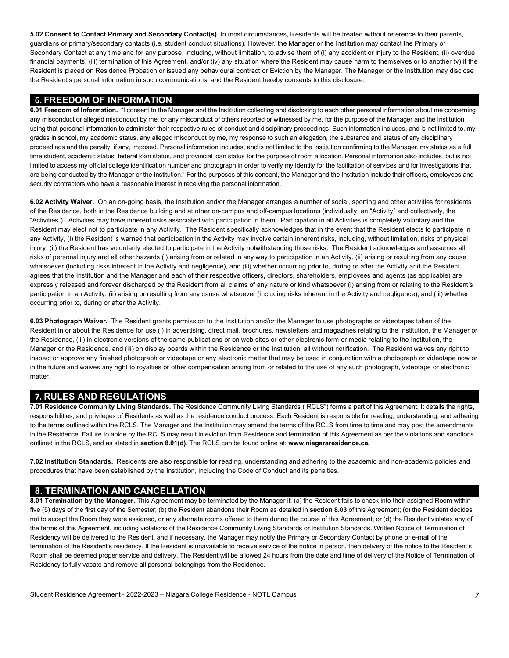**5.02 Consent to Contact Primary and Secondary Contact(s).** In most circumstances, Residents will be treated without reference to their parents, guardians or primary/secondary contacts (i.e. student conduct situations). However, the Manager or the Institution may contact the Primary or Secondary Contact at any time and for any purpose, including, without limitation, to advise them of (i) any accident or injury to the Resident, (ii) overdue financial payments, (iii) termination of this Agreement, and/or (iv) any situation where the Resident may cause harm to themselves or to another (v) if the Resident is placed on Residence Probation or issued any behavioural contract or Eviction by the Manager. The Manager or the Institution may disclose the Resident's personal information in such communications, and the Resident hereby consents to this disclosure.

#### **6. FREEDOM OF INFORMATION**

 **6.01 Freedom of Information.** "I consent to the Manager and the Institution collecting and disclosing to each other personal information about me concerning any misconduct or alleged misconduct by me, or any misconduct of others reported or witnessed by me, for the purpose of the Manager and the Institution using that personal information to administer their respective rules of conduct and disciplinary proceedings. Such information includes, and is not limited to, my grades in school, my academic status, any alleged misconduct by me, my response to such an allegation, the substance and status of any disciplinary proceedings and the penalty, if any, imposed. Personal information includes, and is not limited to the Institution confirming to the Manager, my status as a full time student, academic status, federal loan status, and provincial loan status for the purpose of room allocation. Personal information also includes, but is not limited to access my official college identification number and photograph in order to verify my identity for the facilitation of services and for investigations that are being conducted by the Manager or the Institution." For the purposes of this consent, the Manager and the Institution include their officers, employees and security contractors who have a reasonable interest in receiving the personal information.

 **6.02 Activity Waiver.** On an on-going basis, the Institution and/or the Manager arranges a number of social, sporting and other activities for residents of the Residence, both in the Residence building and at other on-campus and off-campus locations (individually, an "Activity" and collectively, the "Activities"). Activities may have inherent risks associated with participation in them. Participation in all Activities is completely voluntary and the Resident may elect not to participate in any Activity. The Resident specifically acknowledges that in the event that the Resident elects to participate in any Activity, (i) the Resident is warned that participation in the Activity may involve certain inherent risks, including, without limitation, risks of physical injury, (ii) the Resident has voluntarily elected to participate in the Activity notwithstanding those risks. The Resident acknowledges and assumes all risks of personal injury and all other hazards (i) arising from or related in any way to participation in an Activity, (ii) arising or resulting from any cause whatsoever (including risks inherent in the Activity and negligence), and (iii) whether occurring prior to, during or after the Activity and the Resident agrees that the Institution and the Manager and each of their respective officers, directors, shareholders, employees and agents (as applicable) are expressly released and forever discharged by the Resident from all claims of any nature or kind whatsoever (i) arising from or relating to the Resident's participation in an Activity, (ii) arising or resulting from any cause whatsoever (including risks inherent in the Activity and negligence), and (iii) whether occurring prior to, during or after the Activity.

 **6.03 Photograph Waiver.** The Resident grants permission to the Institution and/or the Manager to use photographs or videotapes taken of the Resident in or about the Residence for use (i) in advertising, direct mail, brochures, newsletters and magazines relating to the Institution, the Manager or the Residence, (iii) in electronic versions of the same publications or on web sites or other electronic form or media relating to the Institution, the Manager or the Residence, and (iii) on display boards within the Residence or the Institution, all without notification. The Resident waives any right to inspect or approve any finished photograph or videotape or any electronic matter that may be used in conjunction with a photograph or videotape now or in the future and waives any right to royalties or other compensation arising from or related to the use of any such photograph, videotape or electronic matter.

### **7. RULES AND REGULATIONS**

 responsibilities, and privileges of Residents as well as the residence conduct process. Each Resident is responsible for reading, understanding, and adhering to the terms outlined within the RCLS. The Manager and the Institution may amend the terms of the RCLS from time to time and may post the amendments in the Residence. Failure to abide by the RCLS may result in eviction from Residence and termination of this Agreement as per the violations and sanctions outlined in the RCLS, and as stated in **section 8.01(d)**. The RCLS can be found online at: **[www.niagararesidence.ca.](www.niagararesidence.ca) 7.01 Residence Community Living Standards.** The Residence Community Living Standards ("RCLS") forms a part of this Agreement. It details the rights,

 **7.02 Institution Standards.** Residents are also responsible for reading, understanding and adhering to the academic and non-academic policies and procedures that have been established by the Institution, including the Code of Conduct and its penalties.

## **8. TERMINATION AND CANCELLATION**

 five (5) days of the first day of the Semester; (b) the Resident abandons their Room as detailed in **section 8.03** of this Agreement; (c) the Resident decides not to accept the Room they were assigned, or any alternate rooms offered to them during the course of this Agreement; or (d) the Resident violates any of Residency will be delivered to the Resident, and if necessary, the Manager may notify the Primary or Secondary Contact by phone or e-mail of the termination of the Resident's residency. If the Resident is unavailable to receive service of the notice in person, then delivery of the notice to the Resident's Room shall be deemed proper service and delivery. The Resident will be allowed 24 hours from the date and time of delivery of the Notice of Termination of Residency to fully vacate and remove all personal belongings from the Residence. **8.01 Termination by the Manager.** This Agreement may be terminated by the Manager if: (a) the Resident fails to check into their assigned Room within the terms of this Agreement, including violations of the Residence Community Living Standards or Institution Standards. Written Notice of Termination of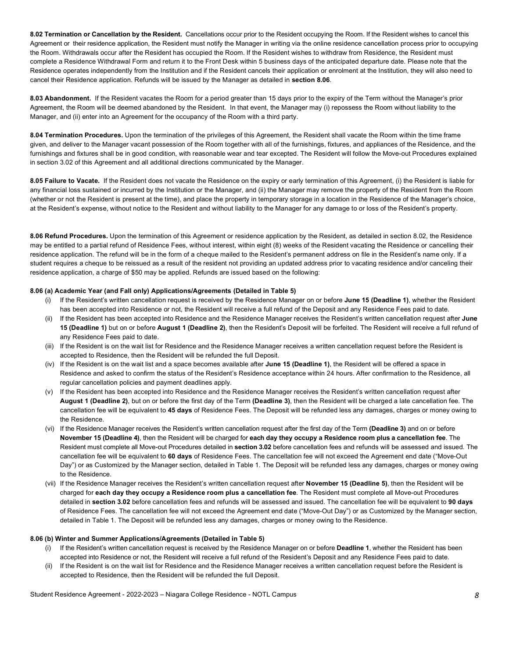**8.02 Termination or Cancellation by the Resident.** Cancellations occur prior to the Resident occupying the Room. If the Resident wishes to cancel this Agreement or their residence application, the Resident must notify the Manager in writing via the online residence cancellation process prior to occupying complete a Residence Withdrawal Form and return it to the Front Desk within 5 business days of the anticipated departure date. Please note that the Residence operates independently from the Institution and if the Resident cancels their application or enrolment at the Institution, they will also need to cancel their Residence application. Refunds will be issued by the Manager as detailed in **section 8.06**. the Room. Withdrawals occur after the Resident has occupied the Room. If the Resident wishes to withdraw from Residence, the Resident must

 **8.03 Abandonment.** If the Resident vacates the Room for a period greater than 15 days prior to the expiry of the Term without the Manager's prior Agreement, the Room will be deemed abandoned by the Resident. In that event, the Manager may (i) repossess the Room without liability to the Manager, and (ii) enter into an Agreement for the occupancy of the Room with a third party.

 **8.04 Termination Procedures.** Upon the termination of the privileges of this Agreement, the Resident shall vacate the Room within the time frame given, and deliver to the Manager vacant possession of the Room together with all of the furnishings, fixtures, and appliances of the Residence, and the furnishings and fixtures shall be in good condition, with reasonable wear and tear excepted. The Resident will follow the Move-out Procedures explained in section 3.02 of this Agreement and all additional directions communicated by the Manager.

 **8.05 Failure to Vacate.** If the Resident does not vacate the Residence on the expiry or early termination of this Agreement, (i) the Resident is liable for any financial loss sustained or incurred by the Institution or the Manager, and (ii) the Manager may remove the property of the Resident from the Room (whether or not the Resident is present at the time), and place the property in temporary storage in a location in the Residence of the Manager's choice, at the Resident's expense, without notice to the Resident and without liability to the Manager for any damage to or loss of the Resident's property.

 **8.06 Refund Procedures.** Upon the termination of this Agreement or residence application by the Resident, as detailed in section 8.02, the Residence may be entitled to a partial refund of Residence Fees, without interest, within eight (8) weeks of the Resident vacating the Residence or cancelling their residence application. The refund will be in the form of a cheque mailed to the Resident's permanent address on file in the Resident's name only. If a student requires a cheque to be reissued as a result of the resident not providing an updated address prior to vacating residence and/or canceling their residence application, a charge of \$50 may be applied. Refunds are issued based on the following:

#### **8.06 (a) Academic Year (and Fall only) Applications/Agreements (Detailed in Table 5)**

- has been accepted into Residence or not, the Resident will receive a full refund of the Deposit and any Residence Fees paid to date. (i) If the Resident's written cancellation request is received by the Residence Manager on or before **June 15 (Deadline 1)**, whether the Resident
- (ii) If the Resident has been accepted into Residence and the Residence Manager receives the Resident's written cancellation request after **June 15 (Deadline 1)** but on or before **August 1 (Deadline 2)**, then the Resident's Deposit will be forfeited. The Resident will receive a full refund of any Residence Fees paid to date.
- (iii) If the Resident is on the wait list for Residence and the Residence Manager receives a written cancellation request before the Resident is accepted to Residence, then the Resident will be refunded the full Deposit.
- (iv) If the Resident is on the wait list and a space becomes available after **June 15 (Deadline 1)**, the Resident will be offered a space in Residence and asked to confirm the status of the Resident's Residence acceptance within 24 hours. After confirmation to the Residence, all regular cancellation policies and payment deadlines apply.
- (v) If the Resident has been accepted into Residence and the Residence Manager receives the Resident's written cancellation request after  **August 1 (Deadline 2)**, but on or before the first day of the Term **(Deadline 3)**, then the Resident will be charged a late cancellation fee. The cancellation fee will be equivalent to **45 days** of Residence Fees. The Deposit will be refunded less any damages, charges or money owing to the Residence.
- **November 15 (Deadline 4)**, then the Resident will be charged for **each day they occupy a Residence room plus a cancellation fee**. The Resident must complete all Move-out Procedures detailed in **section 3.02** before cancellation fees and refunds will be assessed and issued. The cancellation fee will be equivalent to **60 days** of Residence Fees. The cancellation fee will not exceed the Agreement end date ("Move-Out Day") or as Customized by the Manager section, detailed in Table 1. The Deposit will be refunded less any damages, charges or money owing (vi) If the Residence Manager receives the Resident's written cancellation request after the first day of the Term **(Deadline 3)** and on or before to the Residence.
- (vii) If the Residence Manager receives the Resident's written cancellation request after **November 15 (Deadline 5)**, then the Resident will be charged for **each day they occupy a Residence room plus a cancellation fee**. The Resident must complete all Move-out Procedures detailed in **section 3.02** before cancellation fees and refunds will be assessed and issued. The cancellation fee will be equivalent to **90 days**  of Residence Fees. The cancellation fee will not exceed the Agreement end date ("Move-Out Day") or as Customized by the Manager section, detailed in Table 1. The Deposit will be refunded less any damages, charges or money owing to the Residence.

#### **8.06 (b) Winter and Summer Applications/Agreements (Detailed in Table 5)**

- accepted into Residence or not, the Resident will receive a full refund of the Resident's Deposit and any Residence Fees paid to date. If the Resident's written cancellation request is received by the Residence Manager on or before Deadline 1, whether the Resident has been
- (ii) If the Resident is on the wait list for Residence and the Residence Manager receives a written cancellation request before the Resident is accepted to Residence, then the Resident will be refunded the full Deposit.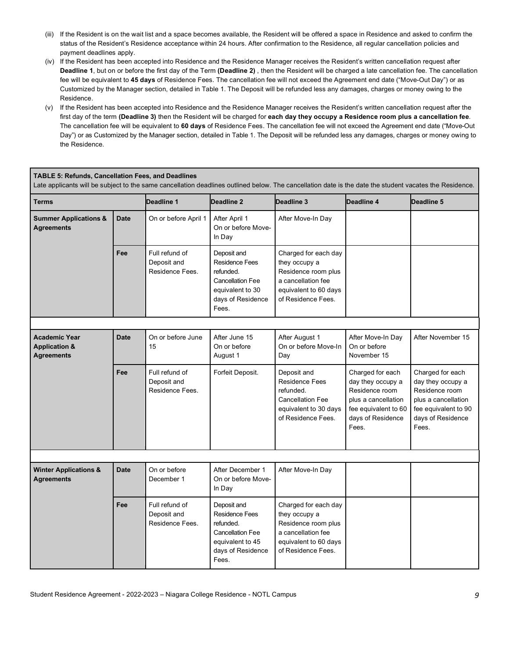- (iii) If the Resident is on the wait list and a space becomes available, the Resident will be offered a space in Residence and asked to confirm the status of the Resident's Residence acceptance within 24 hours. After confirmation to the Residence, all regular cancellation policies and payment deadlines apply.
- (iv) If the Resident has been accepted into Residence and the Residence Manager receives the Resident's written cancellation request after **Deadline 1**, but on or before the first day of the Term **(Deadline 2)** , then the Resident will be charged a late cancellation fee. The cancellation fee will be equivalent to **45 days** of Residence Fees. The cancellation fee will not exceed the Agreement end date ("Move-Out Day") or as Customized by the Manager section, detailed in Table 1. The Deposit will be refunded less any damages, charges or money owing to the Residence.
- (v) If the Resident has been accepted into Residence and the Residence Manager receives the Resident's written cancellation request after the The cancellation fee will be equivalent to **60 days** of Residence Fees. The cancellation fee will not exceed the Agreement end date ("Move-Out Day") or as Customized by the Manager section, detailed in Table 1. The Deposit will be refunded less any damages, charges or money owing to first day of the term **(Deadline 3)** then the Resident will be charged for **each day they occupy a Residence room plus a cancellation fee**. the Residence.

#### **TABLE 5: Refunds, Cancellation Fees, and Deadlines**

Late applicants will be subject to the same cancellation deadlines outlined below. The cancellation date is the date the student vacates the Residence.

| Terms                                                                 |             | Deadline 1                                       | Deadline 2                                                                                                                     | Deadline 3                                                                                                                        | Deadline 4                                                                                                                           | Deadline 5                                                                                                                           |
|-----------------------------------------------------------------------|-------------|--------------------------------------------------|--------------------------------------------------------------------------------------------------------------------------------|-----------------------------------------------------------------------------------------------------------------------------------|--------------------------------------------------------------------------------------------------------------------------------------|--------------------------------------------------------------------------------------------------------------------------------------|
| <b>Summer Applications &amp;</b><br><b>Agreements</b>                 | <b>Date</b> | On or before April 1                             | After April 1<br>On or before Move-<br>In Day                                                                                  | After Move-In Day                                                                                                                 |                                                                                                                                      |                                                                                                                                      |
|                                                                       | Fee         | Full refund of<br>Deposit and<br>Residence Fees. | Deposit and<br><b>Residence Fees</b><br>refunded.<br><b>Cancellation Fee</b><br>equivalent to 30<br>days of Residence<br>Fees. | Charged for each day<br>they occupy a<br>Residence room plus<br>a cancellation fee<br>equivalent to 60 days<br>of Residence Fees. |                                                                                                                                      |                                                                                                                                      |
|                                                                       |             |                                                  |                                                                                                                                |                                                                                                                                   |                                                                                                                                      |                                                                                                                                      |
| <b>Academic Year</b><br><b>Application &amp;</b><br><b>Agreements</b> | <b>Date</b> | On or before June<br>15                          | After June 15<br>On or before<br>August 1                                                                                      | After August 1<br>On or before Move-In<br>Day                                                                                     | After Move-In Day<br>On or before<br>November 15                                                                                     | After November 15                                                                                                                    |
|                                                                       | Fee         | Full refund of<br>Deposit and<br>Residence Fees. | Forfeit Deposit.                                                                                                               | Deposit and<br>Residence Fees<br>refunded.<br><b>Cancellation Fee</b><br>equivalent to 30 days<br>of Residence Fees.              | Charged for each<br>day they occupy a<br>Residence room<br>plus a cancellation<br>fee equivalent to 60<br>days of Residence<br>Fees. | Charged for each<br>day they occupy a<br>Residence room<br>plus a cancellation<br>fee equivalent to 90<br>days of Residence<br>Fees. |
|                                                                       |             |                                                  |                                                                                                                                |                                                                                                                                   |                                                                                                                                      |                                                                                                                                      |
| <b>Winter Applications &amp;</b><br><b>Agreements</b>                 | <b>Date</b> | On or before<br>December 1                       | After December 1<br>On or before Move-<br>In Day                                                                               | After Move-In Day                                                                                                                 |                                                                                                                                      |                                                                                                                                      |
|                                                                       | Fee         | Full refund of<br>Deposit and<br>Residence Fees. | Deposit and<br><b>Residence Fees</b><br>refunded.<br><b>Cancellation Fee</b><br>equivalent to 45<br>days of Residence<br>Fees. | Charged for each day<br>they occupy a<br>Residence room plus<br>a cancellation fee<br>equivalent to 60 days<br>of Residence Fees. |                                                                                                                                      |                                                                                                                                      |